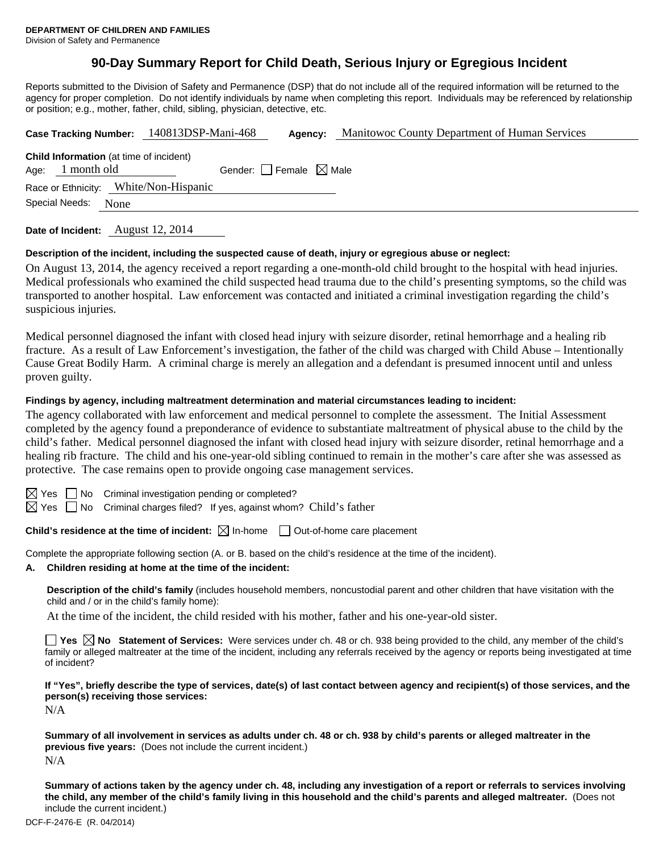# **90-Day Summary Report for Child Death, Serious Injury or Egregious Incident**

Reports submitted to the Division of Safety and Permanence (DSP) that do not include all of the required information will be returned to the agency for proper completion. Do not identify individuals by name when completing this report. Individuals may be referenced by relationship or position; e.g., mother, father, child, sibling, physician, detective, etc.

|                | Case Tracking Number: 140813DSP-Mani-468                      |                                        | Agency: | Manitowoc County Department of Human Services |
|----------------|---------------------------------------------------------------|----------------------------------------|---------|-----------------------------------------------|
| Age:           | <b>Child Information</b> (at time of incident)<br>1 month old | Gender: $\Box$ Female $\boxtimes$ Male |         |                                               |
|                | Race or Ethnicity: White/Non-Hispanic                         |                                        |         |                                               |
| Special Needs: | None                                                          |                                        |         |                                               |
|                |                                                               |                                        |         |                                               |

**Date of Incident:** August 12, 2014

#### **Description of the incident, including the suspected cause of death, injury or egregious abuse or neglect:**

On August 13, 2014, the agency received a report regarding a one-month-old child brought to the hospital with head injuries. Medical professionals who examined the child suspected head trauma due to the child's presenting symptoms, so the child was transported to another hospital. Law enforcement was contacted and initiated a criminal investigation regarding the child's suspicious injuries.

Medical personnel diagnosed the infant with closed head injury with seizure disorder, retinal hemorrhage and a healing rib fracture. As a result of Law Enforcement's investigation, the father of the child was charged with Child Abuse – Intentionally Cause Great Bodily Harm. A criminal charge is merely an allegation and a defendant is presumed innocent until and unless proven guilty.

#### **Findings by agency, including maltreatment determination and material circumstances leading to incident:**

The agency collaborated with law enforcement and medical personnel to complete the assessment. The Initial Assessment completed by the agency found a preponderance of evidence to substantiate maltreatment of physical abuse to the child by the child's father. Medical personnel diagnosed the infant with closed head injury with seizure disorder, retinal hemorrhage and a healing rib fracture. The child and his one-year-old sibling continued to remain in the mother's care after she was assessed as protective. The case remains open to provide ongoing case management services.

 $\Box$  No Criminal investigation pending or completed?

 $\boxtimes$  Yes  $\Box$  No Criminal charges filed? If yes, against whom? Child's father

**Child's residence at the time of incident:**  $\boxtimes$  In-home  $\Box$  Out-of-home care placement

Complete the appropriate following section (A. or B. based on the child's residence at the time of the incident).

**A. Children residing at home at the time of the incident:**

**Description of the child's family** (includes household members, noncustodial parent and other children that have visitation with the child and / or in the child's family home):

At the time of the incident, the child resided with his mother, father and his one-year-old sister.

■ Yes **No** Statement of Services: Were services under ch. 48 or ch. 938 being provided to the child, any member of the child's family or alleged maltreater at the time of the incident, including any referrals received by the agency or reports being investigated at time of incident?

**If "Yes", briefly describe the type of services, date(s) of last contact between agency and recipient(s) of those services, and the person(s) receiving those services:** 

N/A

**Summary of all involvement in services as adults under ch. 48 or ch. 938 by child's parents or alleged maltreater in the previous five years:** (Does not include the current incident.) N/A

**Summary of actions taken by the agency under ch. 48, including any investigation of a report or referrals to services involving the child, any member of the child's family living in this household and the child's parents and alleged maltreater.** (Does not include the current incident.)